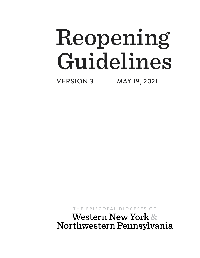VERSION 3 MAY 19, 2021

THE EPISCOPAL DIOCESES OF

**Western New York &** Northwestern Pennsylvania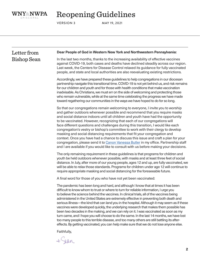

VERSION 3 MAY 19, 2021

| Letter from        | Dear People of God in Western New York and Northwestern Pennsylvania:                                                                                                                                                                                                                                                                                                                                                                                                                                                                                                                                                                                                                                                                                                                                                                                                                                                                       |
|--------------------|---------------------------------------------------------------------------------------------------------------------------------------------------------------------------------------------------------------------------------------------------------------------------------------------------------------------------------------------------------------------------------------------------------------------------------------------------------------------------------------------------------------------------------------------------------------------------------------------------------------------------------------------------------------------------------------------------------------------------------------------------------------------------------------------------------------------------------------------------------------------------------------------------------------------------------------------|
| <b>Bishop Sean</b> | In the last two months, thanks to the increasing availability of effective vaccines<br>against COVID-19, both cases and deaths have declined steadily across our region.<br>Last week, the Centers for Disease Control relaxed its guidance for fully vaccinated<br>people, and state and local authorities are also reevaluating existing restrictions.                                                                                                                                                                                                                                                                                                                                                                                                                                                                                                                                                                                    |
|                    | Accordingly, we have prepared these guidelines to help congregations in our diocesan<br>partnership navigate this transitional time. COVID-19 is not yet behind us, and risk remains<br>for our children and youth and for those with health conditions that make vaccination<br>inadvisable. As Christians, we must err on the side of welcoming and protecting those<br>who remain vulnerable, while at the same time celebrating the progress we have made<br>toward regathering our communities in the ways we have hoped to do for so long.                                                                                                                                                                                                                                                                                                                                                                                            |
|                    | So that our congregations remain welcoming to everyone, I invite you to worship<br>and gather outdoors whenever possible and recommend that you require masks<br>and social distance indoors until all children and youth have had the opportunity<br>to be vaccinated. However, recognizing that each of our congregations will<br>face different questions and challenges during this transition, I would like each<br>congregation's vestry or bishop's committee to work with their clergy to develop<br>masking and social distancing requirements that fit your congregation and<br>context. Once you have had a chance to discuss this issue and craft a plan for your<br>congregation, please send it to Canon Vanessa Butler in my office. Partnership staff<br>and I are available if you would like to consult with us before making your decisions.                                                                             |
|                    | The only remaining requirement in these guidelines is that programs for children and<br>youth be held outdoors whenever possible, with masks and at least three feet of social<br>distance. In July, after more of our young people, ages 12 and up, are fully vaccinated, we<br>will be able to relax those standards. Programs for children under age 12 will continue to<br>require appropriate masking and social distancing for the foreseeable future.                                                                                                                                                                                                                                                                                                                                                                                                                                                                                |
|                    | A final word for those of you who have not yet been vaccinated:                                                                                                                                                                                                                                                                                                                                                                                                                                                                                                                                                                                                                                                                                                                                                                                                                                                                             |
|                    | The pandemic has been long and hard, and although I know that at times it has been<br>difficult to know whom to trust or where to turn for reliable information, I urge you<br>to believe the science behind the vaccines. In clinical trials, all of the vaccines being<br>administered in the United States are extremely effective in preventing both death and<br>serious illness—the kind that can land you in the hospital. Although it may seem as if these<br>vaccines were developed quickly, the underlying research that makes them possible has<br>been two decades in the making, and we can rely on it. I was vaccinated as soon as my<br>turn came, and I hope you will choose to do the same. In the last 14 months, we have lost<br>too many people to this terrible disease, and too many others are still battling its after-<br>effects. By getting vaccinated, you can help make sure that we do not lose anyone else. |
|                    | Faithfully,                                                                                                                                                                                                                                                                                                                                                                                                                                                                                                                                                                                                                                                                                                                                                                                                                                                                                                                                 |
|                    |                                                                                                                                                                                                                                                                                                                                                                                                                                                                                                                                                                                                                                                                                                                                                                                                                                                                                                                                             |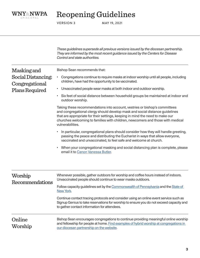

VERSION 3 MAY 19, 2021

Worship Recommendations Online Worship Masking and Social Distancing: Congregational Plans Required *These guidelines supersede all previous versions issued by the diocesan partnership. They are informed by the most recent guidance issued by the Centers for Disease Control and state authorities.* Bishop Sean recommends that: • Congregations continue to require masks at indoor worship until all people, including children, have had the opportunity to be vaccinated. • Unvaccinated people wear masks at both indoor and outdoor worship. • Six feet of social distance between household groups be maintained at indoor and outdoor worship. Taking these recommendations into account, vestries or bishop's committees and congregational clergy should develop mask and social distance guidelines that are appropriate for their settings, keeping in mind the need to make our churches welcoming to families with children, newcomers and those with medical vulnerabilities. • In particular, congregational plans should consider how they will handle greeting, passing the peace and distributing the Eucharist in ways that allow everyone, vaccinated and unvaccinated, to feel safe and welcome at church. • When your congregational masking and social distancing plan is complete, please email it to [Canon Vanessa Butler.](mailto:vbutler%40dionwpa.org?subject=) Whenever possible, gather outdoors for worship and coffee hours instead of indoors. Unvaccinated people should continue to wear masks outdoors. Follow capacity guidelines set by the [Commonwealth of Pennsylvania](https://www.pa.gov/guides/responding-to-covid-19/#ResourcesforBusinesses) and the State of [New York.](https://coronavirus.health.ny.gov/home) Continue contact tracing protocols and consider using an online event service such as Signup Genius to take reservations for worship to ensure you do not exceed capacity and to gather contact information for attendees. Bishop Sean encourages congregations to continue providing meaningful online worship and fellowship for people at home. [Find examples of hybrid worship at congregations in](https://episcopalpartnership.org/tag/onlineworship/)  [our diocesan partnership on the website.](https://episcopalpartnership.org/tag/onlineworship/)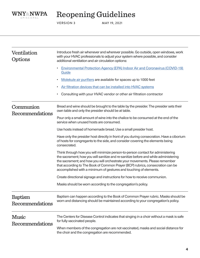

VERSION 3 MAY 19, 2021

| Ventilation<br>Options            | Introduce fresh air whenever and wherever possible. Go outside, open windows, work<br>with your HVAC professionals to adjust your system where possible, and consider<br>additional ventilation and air circulation options:                                                                                                                                                                                |
|-----------------------------------|-------------------------------------------------------------------------------------------------------------------------------------------------------------------------------------------------------------------------------------------------------------------------------------------------------------------------------------------------------------------------------------------------------------|
|                                   | Environmental Protection Agency (EPA) Indoor Air and Coronavirus (COVID-19)<br>Guide                                                                                                                                                                                                                                                                                                                        |
|                                   | Molekule air purifiers are available for spaces up to 1000 feet                                                                                                                                                                                                                                                                                                                                             |
|                                   | Air filtration devices that can be installed into HVAC systems                                                                                                                                                                                                                                                                                                                                              |
|                                   | Consulting with your HVAC vendor or other air filtration contractor                                                                                                                                                                                                                                                                                                                                         |
| Communion<br>Recommendations      | Bread and wine should be brought to the table by the presider. The presider sets their<br>own table and only the presider should be at table.                                                                                                                                                                                                                                                               |
|                                   | Pour only a small amount of wine into the chalice to be consumed at the end of the<br>service when unused hosts are consumed.                                                                                                                                                                                                                                                                               |
|                                   | Use hosts instead of homemade bread. Use a small presider host.                                                                                                                                                                                                                                                                                                                                             |
|                                   | Have only the presider host directly in front of you during consecration. Have a ciborium<br>of hosts for congregants to the side, and consider covering the elements being<br>consecrated.                                                                                                                                                                                                                 |
|                                   | Think through how you will minimize person-to-person contact for administering<br>the sacrament; how you will sanitize and re-sanitize before and while administering<br>the sacrament; and how you will orchestrate your movements. Please remember<br>that according to The Book of Common Prayer (BCP) rubrics, consecration can be<br>accomplished with a minimum of gestures and touching of elements. |
|                                   | Create directional signage and instructions for how to receive communion.                                                                                                                                                                                                                                                                                                                                   |
|                                   | Masks should be worn according to the congregation's policy.                                                                                                                                                                                                                                                                                                                                                |
| <b>Baptism</b><br>Recommendations | Baptism can happen according to the Book of Common Prayer rubric. Masks should be<br>worn and distancing should be maintained according to your congregation's policy.                                                                                                                                                                                                                                      |
| Music<br>Recommendations          | The Centers for Disease Control indicates that singing in a choir without a mask is safe<br>for fully vaccinated people.                                                                                                                                                                                                                                                                                    |
|                                   | When members of the congregation are not vaccinated, masks and social distance for<br>the choir and the congregation are recommended.                                                                                                                                                                                                                                                                       |